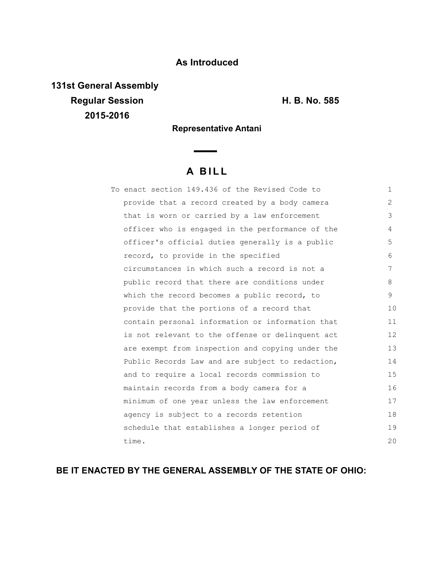## **As Introduced**

**131st General Assembly Regular Session H. B. No. 585 2015-2016**

**Representative Antani**

 $\sim$ 

## **A B I L L**

|  | To enact section 149.436 of the Revised Code to  | $\mathbf{1}$ |
|--|--------------------------------------------------|--------------|
|  | provide that a record created by a body camera   | 2            |
|  | that is worn or carried by a law enforcement     | 3            |
|  | officer who is engaged in the performance of the | 4            |
|  | officer's official duties generally is a public  | 5            |
|  | record, to provide in the specified              | 6            |
|  | circumstances in which such a record is not a    | 7            |
|  | public record that there are conditions under    | 8            |
|  | which the record becomes a public record, to     | 9            |
|  | provide that the portions of a record that       | 10           |
|  | contain personal information or information that | 11           |
|  | is not relevant to the offense or delinquent act | 12           |
|  | are exempt from inspection and copying under the | 13           |
|  | Public Records Law and are subject to redaction, | 14           |
|  | and to require a local records commission to     | 15           |
|  | maintain records from a body camera for a        | 16           |
|  | minimum of one year unless the law enforcement   | 17           |
|  | agency is subject to a records retention         | 18           |
|  | schedule that establishes a longer period of     | 19           |
|  | time.                                            | 20           |

## **BE IT ENACTED BY THE GENERAL ASSEMBLY OF THE STATE OF OHIO:**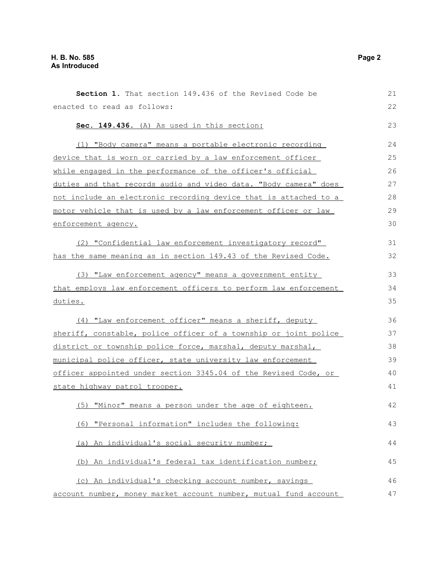| Section 1. That section 149.436 of the Revised Code be           | 21 |
|------------------------------------------------------------------|----|
| enacted to read as follows:                                      | 22 |
| Sec. 149.436. (A) As used in this section:                       | 23 |
| (1) "Body camera" means a portable electronic recording          | 24 |
| device that is worn or carried by a law enforcement officer      | 25 |
| while engaged in the performance of the officer's official       | 26 |
| duties and that records audio and video data. "Body camera" does | 27 |
| not include an electronic recording device that is attached to a | 28 |
| motor vehicle that is used by a law enforcement officer or law   | 29 |
| enforcement agency.                                              | 30 |
| (2) "Confidential law enforcement investigatory record"          | 31 |
| has the same meaning as in section 149.43 of the Revised Code.   | 32 |
| (3) "Law enforcement agency" means a government entity           | 33 |
| that employs law enforcement officers to perform law enforcement | 34 |
| duties.                                                          | 35 |
| (4) "Law enforcement officer" means a sheriff, deputy            | 36 |
| sheriff, constable, police officer of a township or joint police | 37 |
| district or township police force, marshal, deputy marshal,      | 38 |
| municipal police officer, state university law enforcement       | 39 |
| officer appointed under section 3345.04 of the Revised Code, or  | 40 |
| state highway patrol trooper.                                    | 41 |
| (5) "Minor" means a person under the age of eighteen.            | 42 |
| (6) "Personal information" includes the following:               | 43 |
| (a) An individual's social security number;                      | 44 |
| (b) An individual's federal tax identification number;           | 45 |
| (c) An individual's checking account number, savings             | 46 |
| account number, money market account number, mutual fund account | 47 |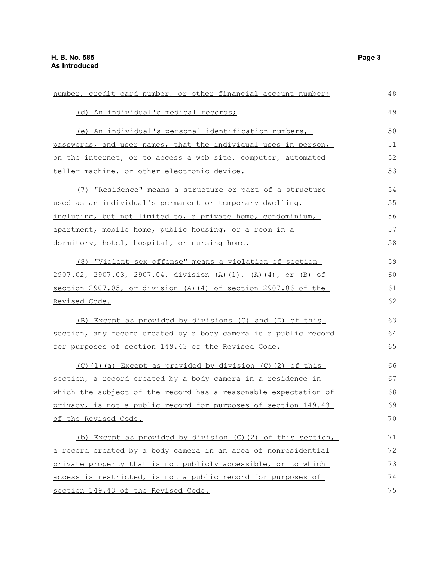| number, credit card number, or other financial account number;  | 48 |
|-----------------------------------------------------------------|----|
| (d) An individual's medical records;                            | 49 |
| (e) An individual's personal identification numbers,            | 50 |
| passwords, and user names, that the individual uses in person,  | 51 |
| on the internet, or to access a web site, computer, automated   | 52 |
| teller machine, or other electronic device.                     | 53 |
| (7) "Residence" means a structure or part of a structure        | 54 |
| used as an individual's permanent or temporary dwelling,        | 55 |
| including, but not limited to, a private home, condominium,     | 56 |
| apartment, mobile home, public housing, or a room in a          | 57 |
| dormitory, hotel, hospital, or nursing home.                    | 58 |
| (8) "Violent sex offense" means a violation of section          | 59 |
| 2907.02, 2907.03, 2907.04, division (A)(1), (A)(4), or (B) of   | 60 |
| section 2907.05, or division (A) (4) of section 2907.06 of the  | 61 |
| Revised Code.                                                   | 62 |
| (B) Except as provided by divisions (C) and (D) of this         | 63 |
| section, any record created by a body camera is a public record | 64 |
| for purposes of section 149.43 of the Revised Code.             | 65 |
| (C) (1) (a) Except as provided by division (C) (2) of this      | 66 |
| section, a record created by a body camera in a residence in    | 67 |
| which the subject of the record has a reasonable expectation of | 68 |
| privacy, is not a public record for purposes of section 149.43  | 69 |
| of the Revised Code.                                            | 70 |
| (b) Except as provided by division (C)(2) of this section,      | 71 |
| a record created by a body camera in an area of nonresidential  |    |
| private property that is not publicly accessible, or to which   | 73 |
| access is restricted, is not a public record for purposes of    | 74 |
| section 149.43 of the Revised Code.                             |    |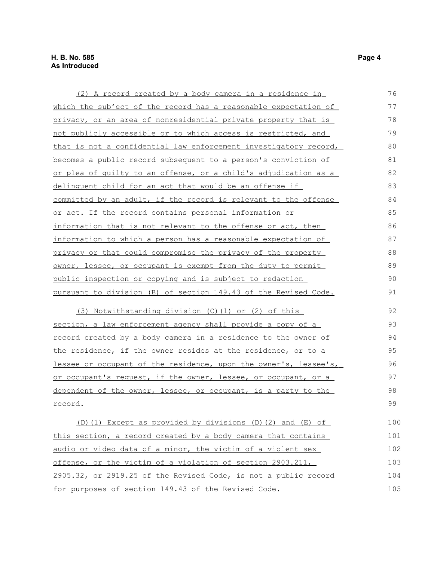| (2) A record created by a body camera in a residence in               | 76  |
|-----------------------------------------------------------------------|-----|
| which the subject of the record has a reasonable expectation of       | 77  |
| privacy, or an area of nonresidential private property that is        | 78  |
| not publicly accessible or to which access is restricted, and         | 79  |
| that is not a confidential law enforcement investigatory record,      | 80  |
| becomes a public record subsequent to a person's conviction of        | 81  |
| or plea of quilty to an offense, or a child's adjudication as a       | 82  |
| delinquent child for an act that would be an offense if               | 83  |
| committed by an adult, if the record is relevant to the offense       | 84  |
| or act. If the record contains personal information or                | 85  |
| information that is not relevant to the offense or act, then          | 86  |
| information to which a person has a reasonable expectation of         | 87  |
| privacy or that could compromise the privacy of the property          | 88  |
| <u>owner, lessee, or occupant is exempt from the duty to permit</u>   | 89  |
| public inspection or copying and is subject to redaction              | 90  |
| pursuant to division (B) of section 149.43 of the Revised Code.       |     |
| (3) Notwithstanding division (C)(1) or (2) of this                    | 92  |
| section, a law enforcement agency shall provide a copy of a           | 93  |
| <u>record created by a body camera in a residence to the owner of</u> | 94  |
| the residence, if the owner resides at the residence, or to a         | 95  |
| lessee or occupant of the residence, upon the owner's, lessee's,      | 96  |
| or occupant's request, if the owner, lessee, or occupant, or a        | 97  |
| dependent of the owner, lessee, or occupant, is a party to the        | 98  |
| record.                                                               | 99  |
| $(D)$ (1) Except as provided by divisions (D) (2) and (E) of          | 100 |
| this section, a record created by a body camera that contains         | 101 |
| audio or video data of a minor, the victim of a violent sex           | 102 |
| offense, or the victim of a violation of section 2903.211,            | 103 |
| 2905.32, or 2919.25 of the Revised Code, is not a public record       | 104 |
| for purposes of section 149.43 of the Revised Code.                   | 105 |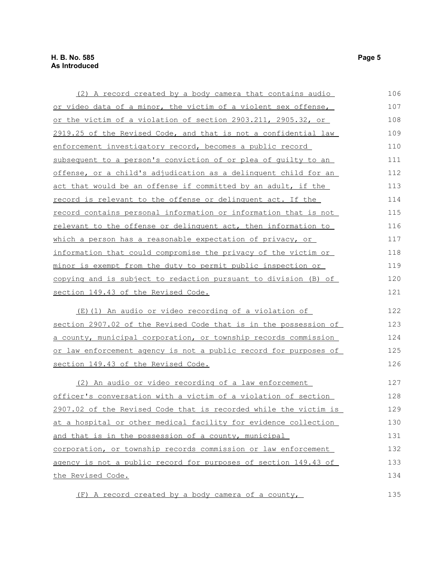| (2) A record created by a body camera that contains audio               | 106 |
|-------------------------------------------------------------------------|-----|
| or video data of a minor, the victim of a violent sex offense,          | 107 |
| or the victim of a violation of section 2903.211, 2905.32, or           | 108 |
| 2919.25 of the Revised Code, and that is not a confidential law         | 109 |
| enforcement investigatory record, becomes a public record               | 110 |
| subsequent to a person's conviction of or plea of quilty to an          | 111 |
| <u>offense, or a child's adjudication as a delinquent child for an </u> | 112 |
| act that would be an offense if committed by an adult, if the           | 113 |
| record is relevant to the offense or delinquent act. If the             | 114 |
| <u>record contains personal information or information that is not</u>  | 115 |
| relevant to the offense or delinquent act, then information to          | 116 |
| which a person has a reasonable expectation of privacy, or              | 117 |
| information that could compromise the privacy of the victim or          | 118 |
| minor is exempt from the duty to permit public inspection or            | 119 |
| copying and is subject to redaction pursuant to division (B) of         | 120 |
| section 149.43 of the Revised Code.                                     | 121 |
| (E) (1) An audio or video recording of a violation of                   | 122 |
| section 2907.02 of the Revised Code that is in the possession of        | 123 |
| a county, municipal corporation, or township records commission         | 124 |
| or law enforcement agency is not a public record for purposes of        | 125 |
| section 149.43 of the Revised Code.                                     | 126 |
| (2) An audio or video recording of a law enforcement                    | 127 |
| officer's conversation with a victim of a violation of section          | 128 |
| 2907.02 of the Revised Code that is recorded while the victim is        | 129 |
| at a hospital or other medical facility for evidence collection         | 130 |
| and that is in the possession of a county, municipal                    | 131 |
| corporation, or township records commission or law enforcement          | 132 |
| agency is not a public record for purposes of section 149.43 of         | 133 |
| the Revised Code.                                                       | 134 |
| (F) A record created by a body camera of a county,                      | 135 |